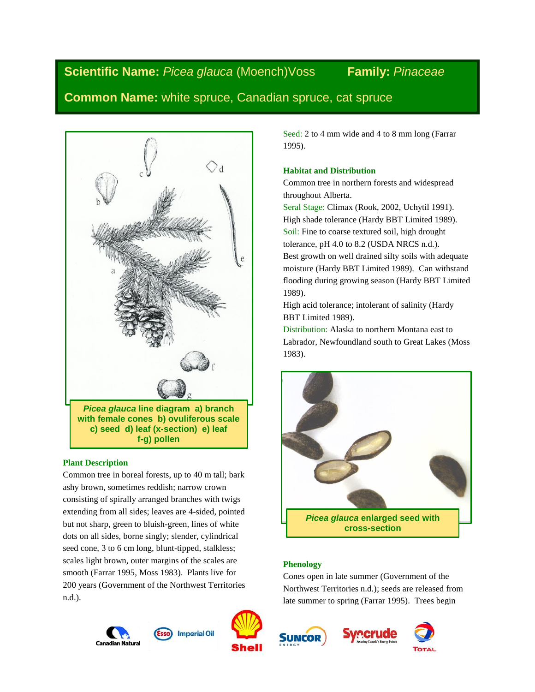# **Scientific Name:** *Picea glauca* (Moench)Voss **Family:** *Pinaceae*

## **Common Name:** white spruce, Canadian spruce, cat spruce



## **Plant Description**

Common tree in boreal forests, up to 40 m tall; bark ashy brown, sometimes reddish; narrow crown consisting of spirally arranged branches with twigs extending from all sides; leaves are 4-sided, pointed but not sharp, green to bluish-green, lines of white dots on all sides, borne singly; slender, cylindrical seed cone, 3 to 6 cm long, blunt-tipped, stalkless; scales light brown, outer margins of the scales are smooth (Farrar 1995, Moss 1983). Plants live for 200 years (Government of the Northwest Territories n.d.).





**SUNCOR** 









Seed: 2 to 4 mm wide and 4 to 8 mm long (Farrar 1995).

### **Habitat and Distribution**

Common tree in northern forests and widespread throughout Alberta.

Seral Stage: Climax (Rook, 2002, Uchytil 1991). High shade tolerance (Hardy BBT Limited 1989). Soil: Fine to coarse textured soil, high drought tolerance, pH 4.0 to 8.2 (USDA NRCS n.d.). Best growth on well drained silty soils with adequate moisture (Hardy BBT Limited 1989). Can withstand flooding during growing season (Hardy BBT Limited 1989).

High acid tolerance; intolerant of salinity (Hardy BBT Limited 1989).

Distribution: Alaska to northern Montana east to Labrador, Newfoundland south to Great Lakes (Moss 1983).



## **Phenology**

Cones open in late summer (Government of the Northwest Territories n.d.); seeds are released from late summer to spring (Farrar 1995). Trees begin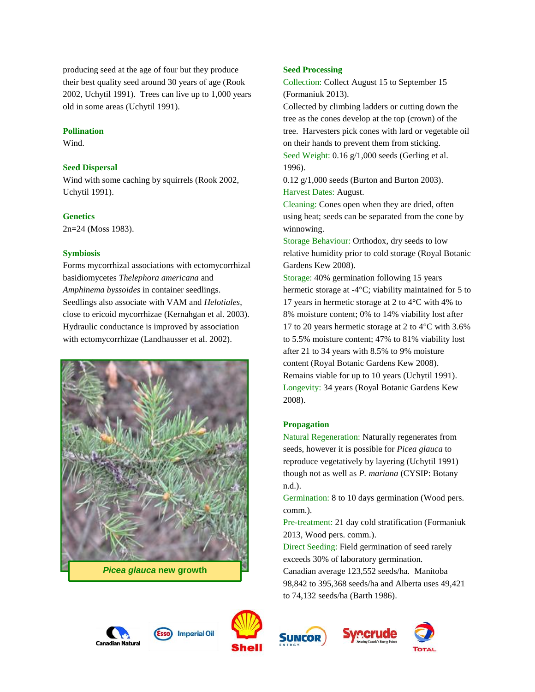producing seed at the age of four but they produce their best quality seed around 30 years of age (Rook 2002, Uchytil 1991). Trees can live up to 1,000 years old in some areas (Uchytil 1991).

#### **Pollination**

Wind.

#### **Seed Dispersal**

Wind with some caching by squirrels (Rook 2002, Uchytil 1991).

#### **Genetics**

2n=24 (Moss 1983).

#### **Symbiosis**

Forms mycorrhizal associations with ectomycorrhizal basidiomycetes *Thelephora americana* and *Amphinema byssoides* in container seedlings. Seedlings also associate with VAM and *Helotiales*, close to ericoid mycorrhizae (Kernahgan et al. 2003). Hydraulic conductance is improved by association with ectomycorrhizae (Landhausser et al. 2002).



*Picea glauca* **new growth**



Collection: Collect August 15 to September 15 (Formaniuk 2013).

Collected by climbing ladders or cutting down the tree as the cones develop at the top (crown) of the tree. Harvesters pick cones with lard or vegetable oil on their hands to prevent them from sticking. Seed Weight: 0.16 g/1,000 seeds (Gerling et al. 1996).

0.12 g/1,000 seeds (Burton and Burton 2003). Harvest Dates: August.

Cleaning: Cones open when they are dried, often using heat; seeds can be separated from the cone by winnowing.

Storage Behaviour: Orthodox, dry seeds to low relative humidity prior to cold storage (Royal Botanic Gardens Kew 2008).

Storage: 40% germination following 15 years hermetic storage at -4°C; viability maintained for 5 to 17 years in hermetic storage at 2 to 4°C with 4% to 8% moisture content; 0% to 14% viability lost after 17 to 20 years hermetic storage at 2 to 4°C with 3.6% to 5.5% moisture content; 47% to 81% viability lost after 21 to 34 years with 8.5% to 9% moisture content (Royal Botanic Gardens Kew 2008). Remains viable for up to 10 years (Uchytil 1991). Longevity: 34 years (Royal Botanic Gardens Kew 2008).

## **Propagation**

Natural Regeneration: Naturally regenerates from seeds, however it is possible for *Picea glauca* to reproduce vegetatively by layering (Uchytil 1991) though not as well as *P. mariana* (CYSIP: Botany n.d.).

Germination: 8 to 10 days germination (Wood pers. comm.).

Pre-treatment: 21 day cold stratification (Formaniuk 2013, Wood pers. comm.).

Direct Seeding: Field germination of seed rarely exceeds 30% of laboratory germination. Canadian average 123,552 seeds/ha. Manitoba 98,842 to 395,368 seeds/ha and Alberta uses 49,421 to 74,132 seeds/ha (Barth 1986).







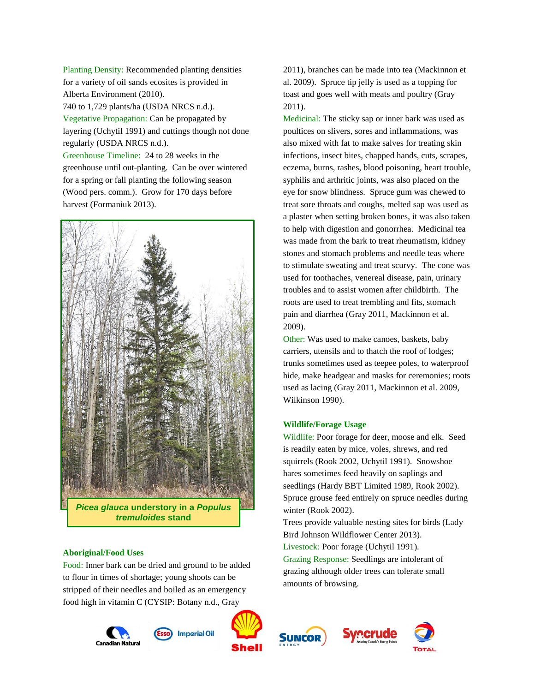Planting Density: Recommended planting densities for a variety of oil sands ecosites is provided in Alberta Environment (2010).

740 to 1,729 plants/ha (USDA NRCS n.d.). Vegetative Propagation: Can be propagated by layering (Uchytil 1991) and cuttings though not done regularly (USDA NRCS n.d.).

Greenhouse Timeline: 24 to 28 weeks in the greenhouse until out-planting. Can be over wintered for a spring or fall planting the following season (Wood pers. comm.). Grow for 170 days before harvest (Formaniuk 2013).



*Picea glauca* **understory in a** *Populus tremuloides* **stand**

#### **Aboriginal/Food Uses**

Food: Inner bark can be dried and ground to be added to flour in times of shortage; young shoots can be stripped of their needles and boiled as an emergency food high in vitamin C (CYSIP: Botany n.d., Gray













2011), branches can be made into tea (Mackinnon et al. 2009). Spruce tip jelly is used as a topping for toast and goes well with meats and poultry (Gray 2011).

Medicinal: The sticky sap or inner bark was used as poultices on slivers, sores and inflammations, was also mixed with fat to make salves for treating skin infections, insect bites, chapped hands, cuts, scrapes, eczema, burns, rashes, blood poisoning, heart trouble, syphilis and arthritic joints, was also placed on the eye for snow blindness. Spruce gum was chewed to treat sore throats and coughs, melted sap was used as a plaster when setting broken bones, it was also taken to help with digestion and gonorrhea. Medicinal tea was made from the bark to treat rheumatism, kidney stones and stomach problems and needle teas where to stimulate sweating and treat scurvy. The cone was used for toothaches, venereal disease, pain, urinary troubles and to assist women after childbirth. The roots are used to treat trembling and fits, stomach pain and diarrhea (Gray 2011, Mackinnon et al. 2009).

Other: Was used to make canoes, baskets, baby carriers, utensils and to thatch the roof of lodges; trunks sometimes used as teepee poles, to waterproof hide, make headgear and masks for ceremonies; roots used as lacing (Gray 2011, Mackinnon et al. 2009, Wilkinson 1990).

Wildlife: Poor forage for deer, moose and elk. Seed is readily eaten by mice, voles, shrews, and red squirrels (Rook 2002, Uchytil 1991). Snowshoe hares sometimes feed heavily on saplings and seedlings (Hardy BBT Limited 1989, Rook 2002). Spruce grouse feed entirely on spruce needles during winter (Rook 2002).

Trees provide valuable nesting sites for birds (Lady Bird Johnson Wildflower Center 2013). Livestock: Poor forage (Uchytil 1991).

Grazing Response: Seedlings are intolerant of grazing although older trees can tolerate small amounts of browsing.

**Wildlife/Forage Usage**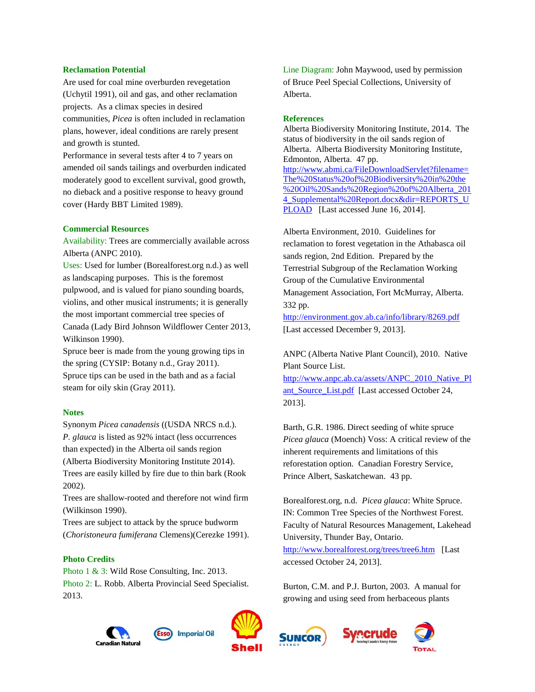#### **Reclamation Potential**

Are used for coal mine overburden revegetation (Uchytil 1991), oil and gas, and other reclamation projects. As a climax species in desired communities, *Picea* is often included in reclamation plans, however, ideal conditions are rarely present and growth is stunted.

Performance in several tests after 4 to 7 years on amended oil sands tailings and overburden indicated moderately good to excellent survival, good growth, no dieback and a positive response to heavy ground cover (Hardy BBT Limited 1989).

#### **Commercial Resources**

Availability: Trees are commercially available across Alberta (ANPC 2010).

Uses: Used for lumber (Borealforest.org n.d.) as well as landscaping purposes. This is the foremost pulpwood, and is valued for piano sounding boards, violins, and other musical instruments; it is generally the most important commercial tree species of Canada (Lady Bird Johnson Wildflower Center 2013, Wilkinson 1990).

Spruce beer is made from the young growing tips in the spring (CYSIP: Botany n.d., Gray 2011). Spruce tips can be used in the bath and as a facial steam for oily skin (Gray 2011).

#### **Notes**

Synonym *Picea canadensis* ((USDA NRCS n.d.). *P. glauca* is listed as 92% intact (less occurrences than expected) in the Alberta oil sands region (Alberta Biodiversity Monitoring Institute 2014). Trees are easily killed by fire due to thin bark (Rook 2002).

Trees are shallow-rooted and therefore not wind firm (Wilkinson 1990).

Trees are subject to attack by the spruce budworm (*Choristoneura fumiferana* Clemens)(Cerezke 1991).

### **Photo Credits**

Photo 1 & 3: Wild Rose Consulting, Inc. 2013. Photo 2: L. Robb. Alberta Provincial Seed Specialist. 2013.



#### **References**

Alberta Biodiversity Monitoring Institute, 2014. The status of biodiversity in the oil sands region of Alberta. Alberta Biodiversity Monitoring Institute, Edmonton, Alberta. 47 pp. [http://www.abmi.ca/FileDownloadServlet?filename=](http://www.abmi.ca/FileDownloadServlet?filename=The%20Status%20of%20Biodiversity%20in%20the%20Oil%20Sands%20Region%20of%20Alberta_2014_Supplemental%20Report.docx&dir=REPORTS_UPLOAD) [The%20Status%20of%20Biodiversity%20in%20the](http://www.abmi.ca/FileDownloadServlet?filename=The%20Status%20of%20Biodiversity%20in%20the%20Oil%20Sands%20Region%20of%20Alberta_2014_Supplemental%20Report.docx&dir=REPORTS_UPLOAD) [%20Oil%20Sands%20Region%20of%20Alberta\\_201](http://www.abmi.ca/FileDownloadServlet?filename=The%20Status%20of%20Biodiversity%20in%20the%20Oil%20Sands%20Region%20of%20Alberta_2014_Supplemental%20Report.docx&dir=REPORTS_UPLOAD) [4\\_Supplemental%20Report.docx&dir=REPORTS\\_U](http://www.abmi.ca/FileDownloadServlet?filename=The%20Status%20of%20Biodiversity%20in%20the%20Oil%20Sands%20Region%20of%20Alberta_2014_Supplemental%20Report.docx&dir=REPORTS_UPLOAD) [PLOAD](http://www.abmi.ca/FileDownloadServlet?filename=The%20Status%20of%20Biodiversity%20in%20the%20Oil%20Sands%20Region%20of%20Alberta_2014_Supplemental%20Report.docx&dir=REPORTS_UPLOAD) [Last accessed June 16, 2014].

Alberta Environment, 2010. Guidelines for reclamation to forest vegetation in the Athabasca oil sands region, 2nd Edition. Prepared by the Terrestrial Subgroup of the Reclamation Working Group of the Cumulative Environmental Management Association, Fort McMurray, Alberta. 332 pp.

<http://environment.gov.ab.ca/info/library/8269.pdf> [Last accessed December 9, 2013].

ANPC (Alberta Native Plant Council), 2010. Native Plant Source List.

[http://www.anpc.ab.ca/assets/ANPC\\_2010\\_Native\\_Pl](http://www.anpc.ab.ca/assets/ANPC_2010_Native_Plant_Source_List.pdf) ant Source List.pdf [Last accessed October 24, 2013].

Barth, G.R. 1986. Direct seeding of white spruce *Picea glauca* (Moench) Voss: A critical review of the inherent requirements and limitations of this reforestation option. Canadian Forestry Service, Prince Albert, Saskatchewan. 43 pp.

Borealforest.org, n.d. *Picea glauca*: White Spruce. IN: Common Tree Species of the Northwest Forest. Faculty of Natural Resources Management, Lakehead University, Thunder Bay, Ontario. <http://www.borealforest.org/trees/tree6.htm>[Last accessed October 24, 2013].

Burton, C.M. and P.J. Burton, 2003. A manual for growing and using seed from herbaceous plants







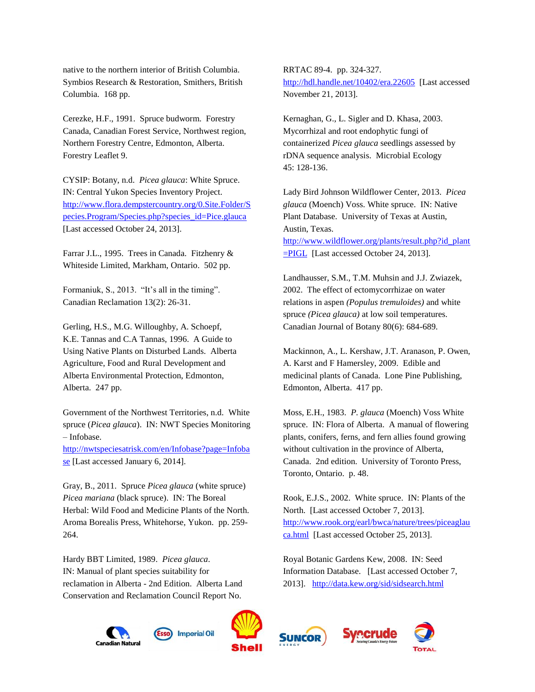native to the northern interior of British Columbia. Symbios Research & Restoration, Smithers, British Columbia. 168 pp.

Cerezke, H.F., 1991. Spruce budworm. Forestry Canada, Canadian Forest Service, Northwest region, Northern Forestry Centre, Edmonton, Alberta. Forestry Leaflet 9.

CYSIP: Botany, n.d. *Picea glauca*: White Spruce. IN: Central Yukon Species Inventory Project. [http://www.flora.dempstercountry.org/0.Site.Folder/S](http://www.flora.dempstercountry.org/0.Site.Folder/Species.Program/Species.php?species_id=Pice.glauca) [pecies.Program/Species.php?species\\_id=Pice.glauca](http://www.flora.dempstercountry.org/0.Site.Folder/Species.Program/Species.php?species_id=Pice.glauca)  [Last accessed October 24, 2013].

Farrar J.L., 1995. Trees in Canada. Fitzhenry & Whiteside Limited, Markham, Ontario. 502 pp.

Formaniuk, S., 2013. "It's all in the timing". Canadian Reclamation 13(2): 26-31.

Gerling, H.S., M.G. Willoughby, A. Schoepf, K.E. Tannas and C.A Tannas, 1996. A Guide to Using Native Plants on Disturbed Lands. Alberta Agriculture, Food and Rural Development and Alberta Environmental Protection, Edmonton, Alberta. 247 pp.

Government of the Northwest Territories, n.d. White spruce (*Picea glauca*). IN: NWT Species Monitoring – Infobase.

[http://nwtspeciesatrisk.com/en/Infobase?page=Infoba](http://nwtspeciesatrisk.com/en/Infobase?page=Infobase) [se](http://nwtspeciesatrisk.com/en/Infobase?page=Infobase) [Last accessed January 6, 2014].

Gray, B., 2011. Spruce *Picea glauca* (white spruce) *Picea mariana* (black spruce). IN: The Boreal Herbal: Wild Food and Medicine Plants of the North. Aroma Borealis Press, Whitehorse, Yukon. pp. 259- 264.

Hardy BBT Limited, 1989. *Picea glauca*. IN: Manual of plant species suitability for reclamation in Alberta - 2nd Edition. Alberta Land Conservation and Reclamation Council Report No.

Canadian Natural

**Imperial Oil** 



**SUNCOR** 





November 21, 2013]. Kernaghan, G., L. Sigler and D. Khasa, 2003.

Mycorrhizal and root endophytic fungi of containerized *Picea glauca* seedlings assessed by rDNA sequence analysis. Microbial Ecology 45: 128-136.

<http://hdl.handle.net/10402/era.22605> [Last accessed

RRTAC 89-4. pp. 324-327.

Lady Bird Johnson Wildflower Center, 2013. *Picea glauca* (Moench) Voss. White spruce. IN: Native Plant Database. University of Texas at Austin, Austin, Texas. [http://www.wildflower.org/plants/result.php?id\\_plant](http://www.wildflower.org/plants/result.php?id_plant=PIGL) [=PIGL](http://www.wildflower.org/plants/result.php?id_plant=PIGL) [Last accessed October 24, 2013].

Landhausser, S.M., T.M. Muhsin and J.J. Zwiazek, 2002. The effect of ectomycorrhizae on water relations in aspen *(Populus tremuloides)* and white spruce *(Picea glauca)* at low soil temperatures. Canadian Journal of Botany 80(6): 684-689.

Mackinnon, A., L. Kershaw, J.T. Aranason, P. Owen, A. Karst and F Hamersley, 2009. Edible and medicinal plants of Canada. Lone Pine Publishing, Edmonton, Alberta. 417 pp.

Moss, E.H., 1983. *P. glauca* (Moench) Voss White spruce. IN: Flora of Alberta. A manual of flowering plants, conifers, ferns, and fern allies found growing without cultivation in the province of Alberta, Canada. 2nd edition. University of Toronto Press, Toronto, Ontario. p. 48.

Rook, E.J.S., 2002. White spruce. IN: Plants of the North. [Last accessed October 7, 2013]. [http://www.rook.org/earl/bwca/nature/trees/piceaglau](http://www.rook.org/earl/bwca/nature/trees/piceaglauca.html) [ca.html](http://www.rook.org/earl/bwca/nature/trees/piceaglauca.html) [Last accessed October 25, 2013].

Royal Botanic Gardens Kew, 2008. IN: Seed Information Database. [Last accessed October 7, 2013]. <http://data.kew.org/sid/sidsearch.html>